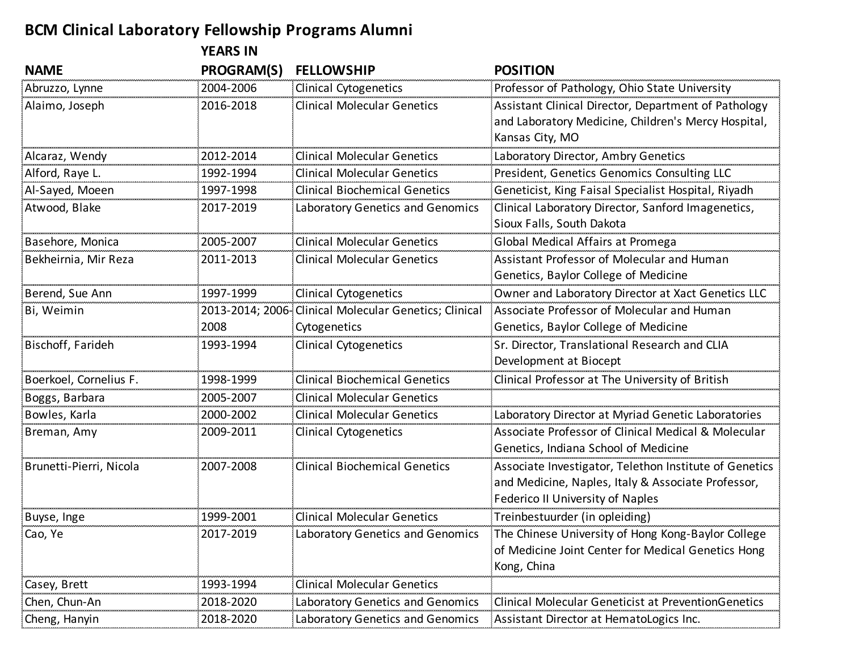## **BCM Clinical Laboratory Fellowship Programs Alumni**

|                         | <b>YEARS IN</b> |                                                                        |                                                                                                                                                         |
|-------------------------|-----------------|------------------------------------------------------------------------|---------------------------------------------------------------------------------------------------------------------------------------------------------|
| <b>NAME</b>             | PROGRAM(S)      | <b>FELLOWSHIP</b>                                                      | <b>POSITION</b>                                                                                                                                         |
| Abruzzo, Lynne          | 2004-2006       | <b>Clinical Cytogenetics</b>                                           | Professor of Pathology, Ohio State University                                                                                                           |
| Alaimo, Joseph          | 2016-2018       | <b>Clinical Molecular Genetics</b>                                     | Assistant Clinical Director, Department of Pathology<br>and Laboratory Medicine, Children's Mercy Hospital,<br>Kansas City, MO                          |
| Alcaraz, Wendy          | 2012-2014       | <b>Clinical Molecular Genetics</b>                                     | Laboratory Director, Ambry Genetics                                                                                                                     |
| Alford, Raye L.         | 1992-1994       | <b>Clinical Molecular Genetics</b>                                     | President, Genetics Genomics Consulting LLC                                                                                                             |
| Al-Sayed, Moeen         | 1997-1998       | <b>Clinical Biochemical Genetics</b>                                   | Geneticist, King Faisal Specialist Hospital, Riyadh                                                                                                     |
| Atwood, Blake           | 2017-2019       | Laboratory Genetics and Genomics                                       | Clinical Laboratory Director, Sanford Imagenetics,<br>Sioux Falls, South Dakota                                                                         |
| Basehore, Monica        | 2005-2007       | <b>Clinical Molecular Genetics</b>                                     | Global Medical Affairs at Promega                                                                                                                       |
| Bekheirnia, Mir Reza    | 2011-2013       | <b>Clinical Molecular Genetics</b>                                     | Assistant Professor of Molecular and Human<br>Genetics, Baylor College of Medicine                                                                      |
| Berend, Sue Ann         | 1997-1999       | <b>Clinical Cytogenetics</b>                                           | Owner and Laboratory Director at Xact Genetics LLC                                                                                                      |
| Bi, Weimin              | 2008            | 2013-2014; 2006- Clinical Molecular Genetics; Clinical<br>Cytogenetics | Associate Professor of Molecular and Human<br>Genetics, Baylor College of Medicine                                                                      |
| Bischoff, Farideh       | 1993-1994       | <b>Clinical Cytogenetics</b>                                           | Sr. Director, Translational Research and CLIA<br>Development at Biocept                                                                                 |
| Boerkoel, Cornelius F.  | 1998-1999       | <b>Clinical Biochemical Genetics</b>                                   | Clinical Professor at The University of British                                                                                                         |
| Boggs, Barbara          | 2005-2007       | <b>Clinical Molecular Genetics</b>                                     |                                                                                                                                                         |
| Bowles, Karla           | 2000-2002       | <b>Clinical Molecular Genetics</b>                                     | Laboratory Director at Myriad Genetic Laboratories                                                                                                      |
| Breman, Amy             | 2009-2011       | <b>Clinical Cytogenetics</b>                                           | Associate Professor of Clinical Medical & Molecular<br>Genetics, Indiana School of Medicine                                                             |
| Brunetti-Pierri, Nicola | 2007-2008       | <b>Clinical Biochemical Genetics</b>                                   | Associate Investigator, Telethon Institute of Genetics<br>and Medicine, Naples, Italy & Associate Professor,<br><b>Federico II University of Naples</b> |
| Buyse, Inge             | 1999-2001       | <b>Clinical Molecular Genetics</b>                                     | Treinbestuurder (in opleiding)                                                                                                                          |
| Cao, Ye                 | 2017-2019       | Laboratory Genetics and Genomics                                       | The Chinese University of Hong Kong-Baylor College<br>of Medicine Joint Center for Medical Genetics Hong<br>Kong, China                                 |
| Casey, Brett            | 1993-1994       | Clinical Molecular Genetics                                            |                                                                                                                                                         |
| Chen, Chun-An           | 2018-2020       | Laboratory Genetics and Genomics                                       | Clinical Molecular Geneticist at PreventionGenetics                                                                                                     |
| Cheng, Hanyin           | 2018-2020       | Laboratory Genetics and Genomics                                       | Assistant Director at HematoLogics Inc.                                                                                                                 |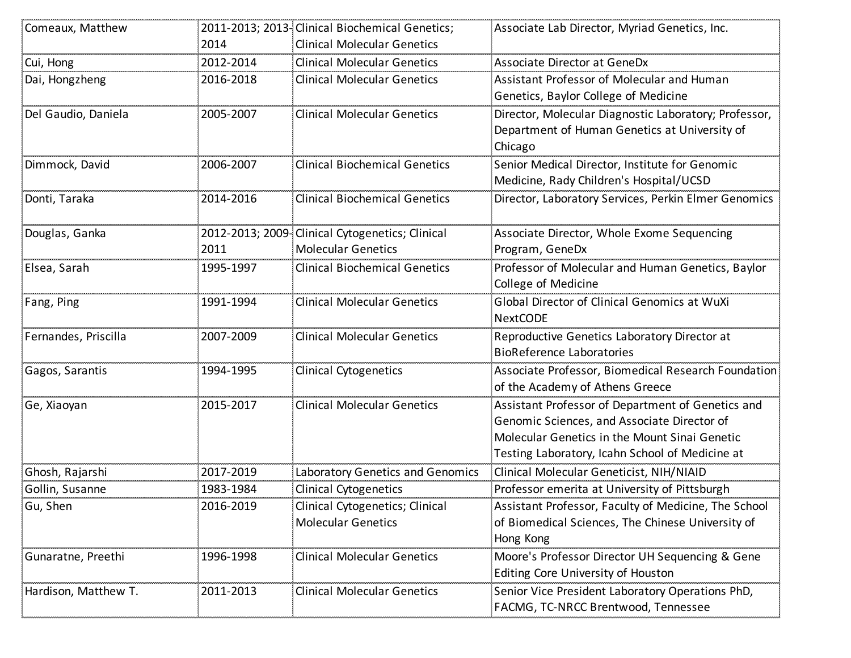| Comeaux, Matthew     |           | 2011-2013; 2013-Clinical Biochemical Genetics;  | Associate Lab Director, Myriad Genetics, Inc.         |
|----------------------|-----------|-------------------------------------------------|-------------------------------------------------------|
|                      | 2014      | <b>Clinical Molecular Genetics</b>              |                                                       |
| Cui, Hong            | 2012-2014 | <b>Clinical Molecular Genetics</b>              | <b>Associate Director at GeneDx</b>                   |
| Dai, Hongzheng       | 2016-2018 | <b>Clinical Molecular Genetics</b>              | Assistant Professor of Molecular and Human            |
|                      |           |                                                 | Genetics, Baylor College of Medicine                  |
| Del Gaudio, Daniela  | 2005-2007 | <b>Clinical Molecular Genetics</b>              | Director, Molecular Diagnostic Laboratory; Professor, |
|                      |           |                                                 | Department of Human Genetics at University of         |
|                      |           |                                                 | Chicago                                               |
| Dimmock, David       | 2006-2007 | <b>Clinical Biochemical Genetics</b>            | Senior Medical Director, Institute for Genomic        |
|                      |           |                                                 | Medicine, Rady Children's Hospital/UCSD               |
| Donti, Taraka        | 2014-2016 | <b>Clinical Biochemical Genetics</b>            | Director, Laboratory Services, Perkin Elmer Genomics  |
|                      |           |                                                 |                                                       |
| Douglas, Ganka       |           | 2012-2013; 2009-Clinical Cytogenetics; Clinical | Associate Director, Whole Exome Sequencing            |
|                      | 2011      | <b>Molecular Genetics</b>                       | Program, GeneDx                                       |
| Elsea, Sarah         | 1995-1997 | <b>Clinical Biochemical Genetics</b>            | Professor of Molecular and Human Genetics, Baylor     |
|                      |           |                                                 | College of Medicine                                   |
| Fang, Ping           | 1991-1994 | <b>Clinical Molecular Genetics</b>              | Global Director of Clinical Genomics at WuXi          |
|                      |           |                                                 | <b>NextCODE</b>                                       |
| Fernandes, Priscilla | 2007-2009 | <b>Clinical Molecular Genetics</b>              | Reproductive Genetics Laboratory Director at          |
|                      |           |                                                 | <b>BioReference Laboratories</b>                      |
| Gagos, Sarantis      | 1994-1995 | <b>Clinical Cytogenetics</b>                    | Associate Professor, Biomedical Research Foundation   |
|                      |           |                                                 | of the Academy of Athens Greece                       |
| Ge, Xiaoyan          | 2015-2017 | <b>Clinical Molecular Genetics</b>              | Assistant Professor of Department of Genetics and     |
|                      |           |                                                 | Genomic Sciences, and Associate Director of           |
|                      |           |                                                 | Molecular Genetics in the Mount Sinai Genetic         |
|                      |           |                                                 | Testing Laboratory, Icahn School of Medicine at       |
| Ghosh, Rajarshi      | 2017-2019 | Laboratory Genetics and Genomics                | Clinical Molecular Geneticist, NIH/NIAID              |
| Gollin, Susanne      | 1983-1984 | <b>Clinical Cytogenetics</b>                    | Professor emerita at University of Pittsburgh         |
| Gu, Shen             | 2016-2019 | Clinical Cytogenetics; Clinical                 | Assistant Professor, Faculty of Medicine, The School  |
|                      |           | <b>Molecular Genetics</b>                       | of Biomedical Sciences, The Chinese University of     |
|                      |           |                                                 | Hong Kong                                             |
| Gunaratne, Preethi   | 1996-1998 | <b>Clinical Molecular Genetics</b>              | Moore's Professor Director UH Sequencing & Gene       |
|                      |           |                                                 | Editing Core University of Houston                    |
| Hardison, Matthew T. | 2011-2013 | <b>Clinical Molecular Genetics</b>              | Senior Vice President Laboratory Operations PhD,      |
|                      |           |                                                 | FACMG, TC-NRCC Brentwood, Tennessee                   |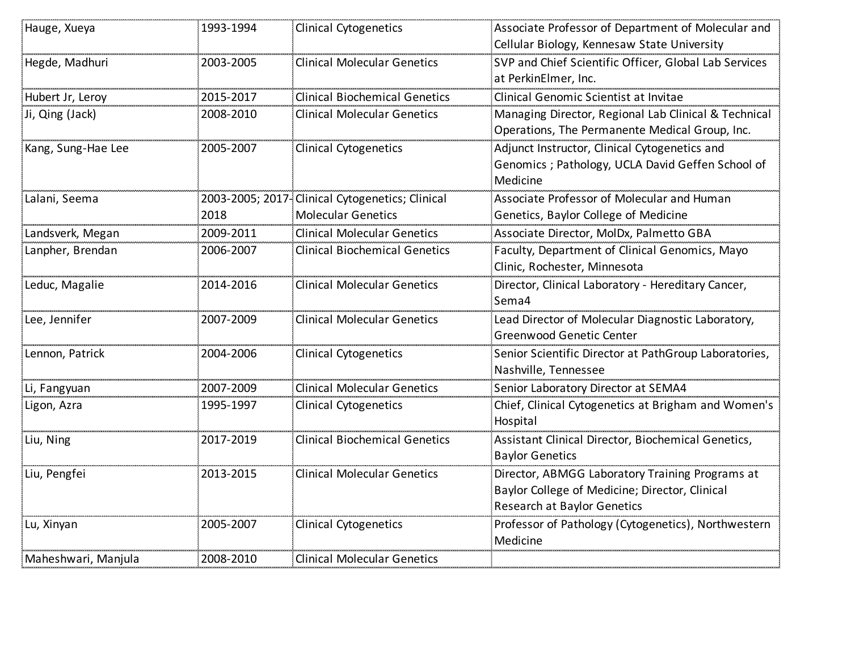| Hauge, Xueya        | 1993-1994 | <b>Clinical Cytogenetics</b>                    | Associate Professor of Department of Molecular and    |
|---------------------|-----------|-------------------------------------------------|-------------------------------------------------------|
|                     |           |                                                 | Cellular Biology, Kennesaw State University           |
| Hegde, Madhuri      | 2003-2005 | <b>Clinical Molecular Genetics</b>              | SVP and Chief Scientific Officer, Global Lab Services |
|                     |           |                                                 | at PerkinElmer, Inc.                                  |
| Hubert Jr, Leroy    | 2015-2017 | <b>Clinical Biochemical Genetics</b>            | Clinical Genomic Scientist at Invitae                 |
| Ji, Qing (Jack)     | 2008-2010 | <b>Clinical Molecular Genetics</b>              | Managing Director, Regional Lab Clinical & Technical  |
|                     |           |                                                 | Operations, The Permanente Medical Group, Inc.        |
| Kang, Sung-Hae Lee  | 2005-2007 | <b>Clinical Cytogenetics</b>                    | Adjunct Instructor, Clinical Cytogenetics and         |
|                     |           |                                                 | Genomics ; Pathology, UCLA David Geffen School of     |
|                     |           |                                                 | Medicine                                              |
| Lalani, Seema       |           | 2003-2005; 2017-Clinical Cytogenetics; Clinical | Associate Professor of Molecular and Human            |
|                     | 2018      | <b>Molecular Genetics</b>                       | Genetics, Baylor College of Medicine                  |
| Landsverk, Megan    | 2009-2011 | <b>Clinical Molecular Genetics</b>              | Associate Director, MolDx, Palmetto GBA               |
| Lanpher, Brendan    | 2006-2007 | <b>Clinical Biochemical Genetics</b>            | Faculty, Department of Clinical Genomics, Mayo        |
|                     |           |                                                 | Clinic, Rochester, Minnesota                          |
| Leduc, Magalie      | 2014-2016 | <b>Clinical Molecular Genetics</b>              | Director, Clinical Laboratory - Hereditary Cancer,    |
|                     |           |                                                 | Sema4                                                 |
| Lee, Jennifer       | 2007-2009 | <b>Clinical Molecular Genetics</b>              | Lead Director of Molecular Diagnostic Laboratory,     |
|                     |           |                                                 | Greenwood Genetic Center                              |
| Lennon, Patrick     | 2004-2006 | <b>Clinical Cytogenetics</b>                    | Senior Scientific Director at PathGroup Laboratories, |
|                     |           |                                                 | Nashville, Tennessee                                  |
| Li, Fangyuan        | 2007-2009 | <b>Clinical Molecular Genetics</b>              | Senior Laboratory Director at SEMA4                   |
| Ligon, Azra         | 1995-1997 | <b>Clinical Cytogenetics</b>                    | Chief, Clinical Cytogenetics at Brigham and Women's   |
|                     |           |                                                 | Hospital                                              |
| Liu, Ning           | 2017-2019 | <b>Clinical Biochemical Genetics</b>            | Assistant Clinical Director, Biochemical Genetics,    |
|                     |           |                                                 | <b>Baylor Genetics</b>                                |
| Liu, Pengfei        | 2013-2015 | <b>Clinical Molecular Genetics</b>              | Director, ABMGG Laboratory Training Programs at       |
|                     |           |                                                 | Baylor College of Medicine; Director, Clinical        |
|                     |           |                                                 | <b>Research at Baylor Genetics</b>                    |
| Lu, Xinyan          | 2005-2007 | Clinical Cytogenetics                           | Professor of Pathology (Cytogenetics), Northwestern   |
|                     |           |                                                 | Medicine                                              |
| Maheshwari, Manjula | 2008-2010 | <b>Clinical Molecular Genetics</b>              |                                                       |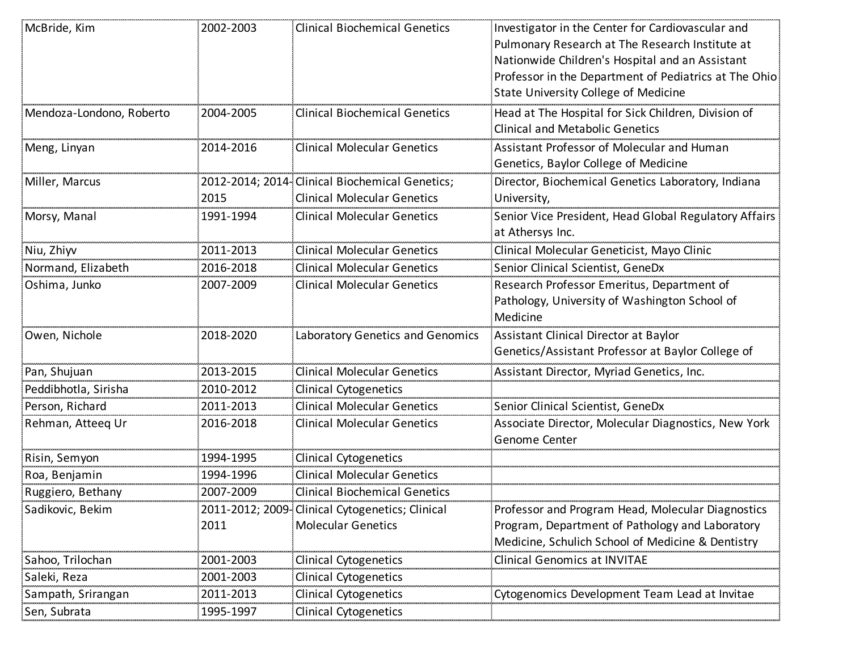| McBride, Kim             | 2002-2003 | <b>Clinical Biochemical Genetics</b>                                                  | Investigator in the Center for Cardiovascular and<br>Pulmonary Research at The Research Institute at<br>Nationwide Children's Hospital and an Assistant<br>Professor in the Department of Pediatrics at The Ohio<br><b>State University College of Medicine</b> |
|--------------------------|-----------|---------------------------------------------------------------------------------------|-----------------------------------------------------------------------------------------------------------------------------------------------------------------------------------------------------------------------------------------------------------------|
| Mendoza-Londono, Roberto | 2004-2005 | <b>Clinical Biochemical Genetics</b>                                                  | Head at The Hospital for Sick Children, Division of<br><b>Clinical and Metabolic Genetics</b>                                                                                                                                                                   |
| Meng, Linyan             | 2014-2016 | <b>Clinical Molecular Genetics</b>                                                    | Assistant Professor of Molecular and Human<br>Genetics, Baylor College of Medicine                                                                                                                                                                              |
| Miller, Marcus           | 2015      | 2012-2014; 2014- Clinical Biochemical Genetics;<br><b>Clinical Molecular Genetics</b> | Director, Biochemical Genetics Laboratory, Indiana<br>University,                                                                                                                                                                                               |
| Morsy, Manal             | 1991-1994 | <b>Clinical Molecular Genetics</b>                                                    | Senior Vice President, Head Global Regulatory Affairs<br>at Athersys Inc.                                                                                                                                                                                       |
| Niu, Zhiyv               | 2011-2013 | <b>Clinical Molecular Genetics</b>                                                    | Clinical Molecular Geneticist, Mayo Clinic                                                                                                                                                                                                                      |
| Normand, Elizabeth       | 2016-2018 | <b>Clinical Molecular Genetics</b>                                                    | Senior Clinical Scientist, GeneDx                                                                                                                                                                                                                               |
| Oshima, Junko            | 2007-2009 | <b>Clinical Molecular Genetics</b>                                                    | Research Professor Emeritus, Department of<br>Pathology, University of Washington School of<br>Medicine                                                                                                                                                         |
| Owen, Nichole            | 2018-2020 | Laboratory Genetics and Genomics                                                      | Assistant Clinical Director at Baylor<br>Genetics/Assistant Professor at Baylor College of                                                                                                                                                                      |
| Pan, Shujuan             | 2013-2015 | <b>Clinical Molecular Genetics</b>                                                    | Assistant Director, Myriad Genetics, Inc.                                                                                                                                                                                                                       |
| Peddibhotla, Sirisha     | 2010-2012 | <b>Clinical Cytogenetics</b>                                                          |                                                                                                                                                                                                                                                                 |
| Person, Richard          | 2011-2013 | <b>Clinical Molecular Genetics</b>                                                    | Senior Clinical Scientist, GeneDx                                                                                                                                                                                                                               |
| Rehman, Atteeq Ur        | 2016-2018 | <b>Clinical Molecular Genetics</b>                                                    | Associate Director, Molecular Diagnostics, New York<br>Genome Center                                                                                                                                                                                            |
| Risin, Semyon            | 1994-1995 | <b>Clinical Cytogenetics</b>                                                          |                                                                                                                                                                                                                                                                 |
| Roa, Benjamin            | 1994-1996 | <b>Clinical Molecular Genetics</b>                                                    |                                                                                                                                                                                                                                                                 |
| Ruggiero, Bethany        | 2007-2009 | <b>Clinical Biochemical Genetics</b>                                                  |                                                                                                                                                                                                                                                                 |
| Sadikovic, Bekim         |           | 2011-2012; 2009- Clinical Cytogenetics; Clinical                                      | Professor and Program Head, Molecular Diagnostics                                                                                                                                                                                                               |
|                          | 2011      | <b>Molecular Genetics</b>                                                             | Program, Department of Pathology and Laboratory<br>Medicine, Schulich School of Medicine & Dentistry                                                                                                                                                            |
| Sahoo, Trilochan         | 2001-2003 | <b>Clinical Cytogenetics</b>                                                          | <b>Clinical Genomics at INVITAE</b>                                                                                                                                                                                                                             |
| Saleki, Reza             | 2001-2003 | <b>Clinical Cytogenetics</b>                                                          |                                                                                                                                                                                                                                                                 |
| Sampath, Srirangan       | 2011-2013 | <b>Clinical Cytogenetics</b>                                                          | Cytogenomics Development Team Lead at Invitae                                                                                                                                                                                                                   |
| Sen, Subrata             | 1995-1997 | <b>Clinical Cytogenetics</b>                                                          |                                                                                                                                                                                                                                                                 |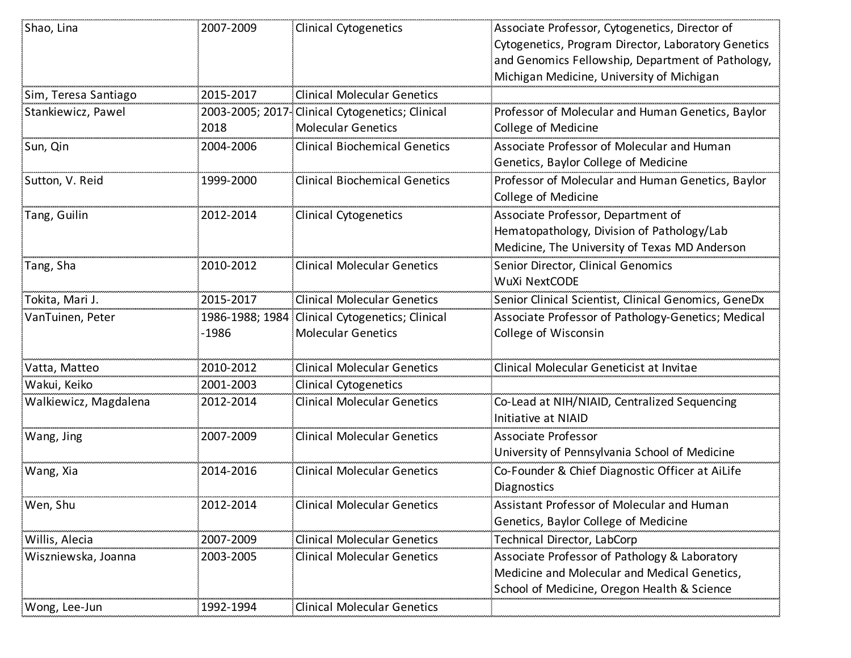| Shao, Lina            | 2007-2009 | <b>Clinical Cytogenetics</b>                    | Associate Professor, Cytogenetics, Director of       |
|-----------------------|-----------|-------------------------------------------------|------------------------------------------------------|
|                       |           |                                                 | Cytogenetics, Program Director, Laboratory Genetics  |
|                       |           |                                                 | and Genomics Fellowship, Department of Pathology,    |
|                       |           |                                                 | Michigan Medicine, University of Michigan            |
| Sim, Teresa Santiago  | 2015-2017 | <b>Clinical Molecular Genetics</b>              |                                                      |
| Stankiewicz, Pawel    |           | 2003-2005; 2017-Clinical Cytogenetics; Clinical | Professor of Molecular and Human Genetics, Baylor    |
|                       | 2018      | <b>Molecular Genetics</b>                       | College of Medicine                                  |
| Sun, Qin              | 2004-2006 | <b>Clinical Biochemical Genetics</b>            | Associate Professor of Molecular and Human           |
|                       |           |                                                 | Genetics, Baylor College of Medicine                 |
| Sutton, V. Reid       | 1999-2000 | <b>Clinical Biochemical Genetics</b>            | Professor of Molecular and Human Genetics, Baylor    |
|                       |           |                                                 | College of Medicine                                  |
| Tang, Guilin          | 2012-2014 | <b>Clinical Cytogenetics</b>                    | Associate Professor, Department of                   |
|                       |           |                                                 | Hematopathology, Division of Pathology/Lab           |
|                       |           |                                                 | Medicine, The University of Texas MD Anderson        |
| Tang, Sha             | 2010-2012 | <b>Clinical Molecular Genetics</b>              | Senior Director, Clinical Genomics                   |
|                       |           |                                                 | <b>WuXi NextCODE</b>                                 |
| Tokita, Mari J.       | 2015-2017 | <b>Clinical Molecular Genetics</b>              | Senior Clinical Scientist, Clinical Genomics, GeneDx |
| VanTuinen, Peter      |           | 1986-1988; 1984 Clinical Cytogenetics; Clinical | Associate Professor of Pathology-Genetics; Medical   |
|                       | $-1986$   | <b>Molecular Genetics</b>                       | College of Wisconsin                                 |
|                       |           |                                                 |                                                      |
| Vatta, Matteo         | 2010-2012 | <b>Clinical Molecular Genetics</b>              | Clinical Molecular Geneticist at Invitae             |
| Wakui, Keiko          | 2001-2003 | <b>Clinical Cytogenetics</b>                    |                                                      |
| Walkiewicz, Magdalena | 2012-2014 | <b>Clinical Molecular Genetics</b>              | Co-Lead at NIH/NIAID, Centralized Sequencing         |
|                       |           |                                                 | Initiative at NIAID                                  |
| Wang, Jing            | 2007-2009 | <b>Clinical Molecular Genetics</b>              | <b>Associate Professor</b>                           |
|                       |           |                                                 | University of Pennsylvania School of Medicine        |
| Wang, Xia             | 2014-2016 | <b>Clinical Molecular Genetics</b>              | Co-Founder & Chief Diagnostic Officer at AiLife      |
|                       |           |                                                 | Diagnostics                                          |
| Wen, Shu              | 2012-2014 | Clinical Molecular Genetics                     | Assistant Professor of Molecular and Human           |
|                       |           |                                                 | Genetics, Baylor College of Medicine                 |
| Willis, Alecia        | 2007-2009 | <b>Clinical Molecular Genetics</b>              | Technical Director, LabCorp                          |
| Wiszniewska, Joanna   | 2003-2005 | <b>Clinical Molecular Genetics</b>              | Associate Professor of Pathology & Laboratory        |
|                       |           |                                                 | Medicine and Molecular and Medical Genetics,         |
|                       |           |                                                 | School of Medicine, Oregon Health & Science          |
| Wong, Lee-Jun         | 1992-1994 | Clinical Molecular Genetics                     |                                                      |